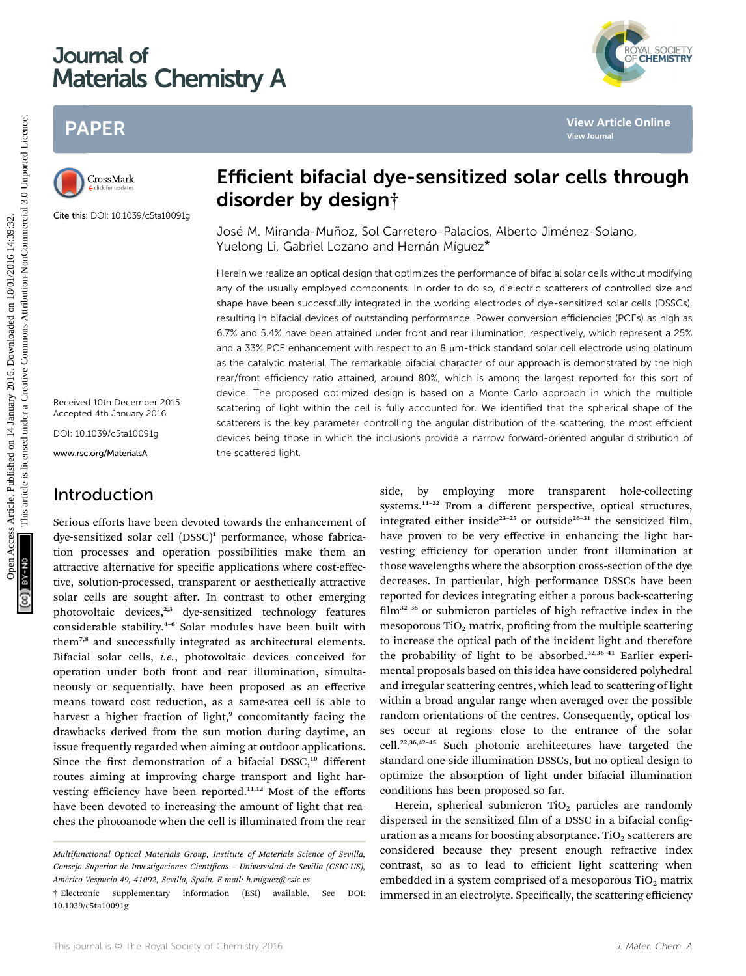# Journal of Materials Chemistry A

## PAPER



Cite this: DOI: 10.1039/c5ta10091g

Received 10th December 2015 Accepted 4th January 2016

DOI: 10.1039/c5ta10091g

www.rsc.org/MaterialsA

## Introduction

# Efficient bifacial dye-sensitized solar cells through disorder by design†

José M. Miranda-Muñoz, Sol Carretero-Palacios, Alberto Jiménez-Solano, Yuelong Li, Gabriel Lozano and Hernán Míquez\*

Herein we realize an optical design that optimizes the performance of bifacial solar cells without modifying any of the usually employed components. In order to do so, dielectric scatterers of controlled size and shape have been successfully integrated in the working electrodes of dye-sensitized solar cells (DSSCs), resulting in bifacial devices of outstanding performance. Power conversion efficiencies (PCEs) as high as 6.7% and 5.4% have been attained under front and rear illumination, respectively, which represent a 25% and a 33% PCE enhancement with respect to an 8  $\mu$ m-thick standard solar cell electrode using platinum as the catalytic material. The remarkable bifacial character of our approach is demonstrated by the high rear/front efficiency ratio attained, around 80%, which is among the largest reported for this sort of device. The proposed optimized design is based on a Monte Carlo approach in which the multiple scattering of light within the cell is fully accounted for. We identified that the spherical shape of the scatterers is the key parameter controlling the angular distribution of the scattering, the most efficient devices being those in which the inclusions provide a narrow forward-oriented angular distribution of the scattered light. PAPER<br>
Consulting and **Efficient bifacial dye-sensitized solar cells through<br>
Consulting and <b>Efficient bifacial dye-sensitized solar cells through<br>
Consulting and <b>Since the United Minarcon Consulting and Consultation**<br>

Serious efforts have been devoted towards the enhancement of dye-sensitized solar cell  $(DSSC)^1$  performance, whose fabrication processes and operation possibilities make them an attractive alternative for specific applications where cost-effective, solution-processed, transparent or aesthetically attractive solar cells are sought after. In contrast to other emerging photovoltaic devices,<sup>2,3</sup> dye-sensitized technology features considerable stability.<sup>4</sup>–<sup>6</sup> Solar modules have been built with them<sup>7,8</sup> and successfully integrated as architectural elements. Bifacial solar cells, i.e., photovoltaic devices conceived for operation under both front and rear illumination, simultaneously or sequentially, have been proposed as an effective means toward cost reduction, as a same-area cell is able to harvest a higher fraction of light,<sup>9</sup> concomitantly facing the drawbacks derived from the sun motion during daytime, an issue frequently regarded when aiming at outdoor applications. Since the first demonstration of a bifacial DSSC,<sup>10</sup> different routes aiming at improving charge transport and light harvesting efficiency have been reported.11,12 Most of the efforts have been devoted to increasing the amount of light that reaches the photoanode when the cell is illuminated from the rear

side, by employing more transparent hole-collecting systems.<sup>11-22</sup> From a different perspective, optical structures, integrated either inside<sup>23-25</sup> or outside<sup>26-31</sup> the sensitized film, have proven to be very effective in enhancing the light harvesting efficiency for operation under front illumination at those wavelengths where the absorption cross-section of the dye decreases. In particular, high performance DSSCs have been reported for devices integrating either a porous back-scattering  $film<sup>32-36</sup>$  or submicron particles of high refractive index in the mesoporous  $TiO<sub>2</sub>$  matrix, profiting from the multiple scattering to increase the optical path of the incident light and therefore the probability of light to be absorbed.<sup>32,36-41</sup> Earlier experimental proposals based on this idea have considered polyhedral and irregular scattering centres, which lead to scattering of light within a broad angular range when averaged over the possible random orientations of the centres. Consequently, optical losses occur at regions close to the entrance of the solar cell.22,36,42–<sup>45</sup> Such photonic architectures have targeted the standard one-side illumination DSSCs, but no optical design to optimize the absorption of light under bifacial illumination conditions has been proposed so far.

Herein, spherical submicron  $TiO<sub>2</sub>$  particles are randomly dispersed in the sensitized film of a DSSC in a bifacial configuration as a means for boosting absorptance. TiO<sub>2</sub> scatterers are considered because they present enough refractive index contrast, so as to lead to efficient light scattering when embedded in a system comprised of a mesoporous  $TiO<sub>2</sub>$  matrix immersed in an electrolyte. Specifically, the scattering efficiency

YAL SOCIETY<br>**CHEMISTRY** 

Multifunctional Optical Materials Group, Institute of Materials Science of Sevilla, Consejo Superior de Investigaciones Científicas - Universidad de Sevilla (CSIC-US), Am´erico Vespucio 49, 41092, Sevilla, Spain. E-mail: h.miguez@csic.es

<sup>†</sup> Electronic supplementary information (ESI) available. See DOI: 10.1039/c5ta10091g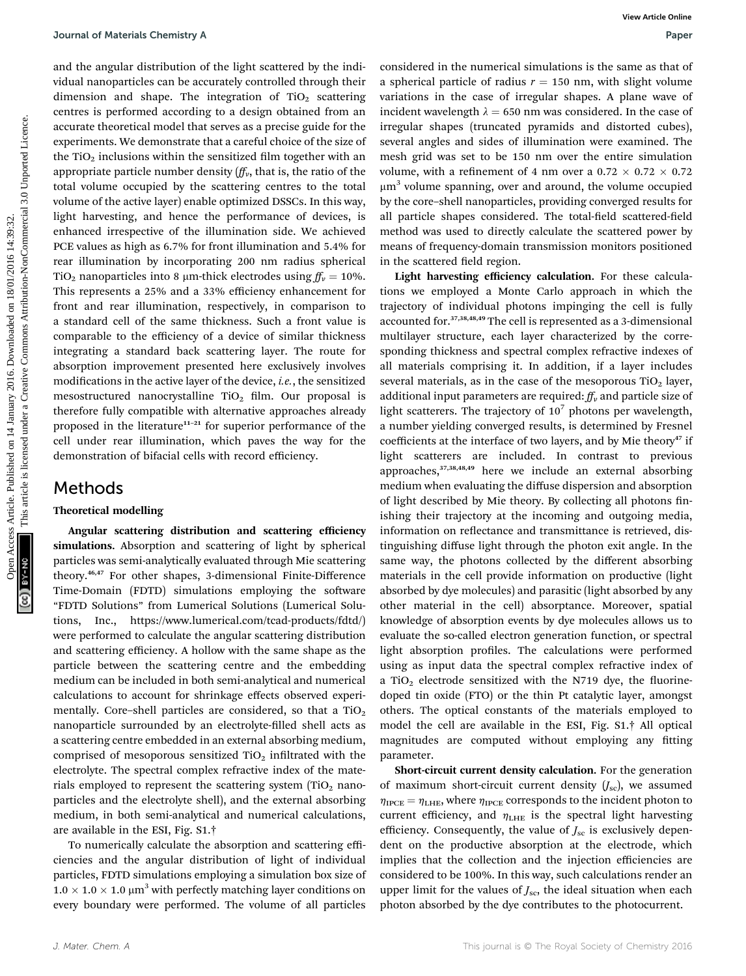and the angular distribution of the light scattered by the individual nanoparticles can be accurately controlled through their dimension and shape. The integration of  $TiO<sub>2</sub>$  scattering centres is performed according to a design obtained from an accurate theoretical model that serves as a precise guide for the experiments. We demonstrate that a careful choice of the size of the  $TiO<sub>2</sub>$  inclusions within the sensitized film together with an appropriate particle number density  $(f_V^r)$ , that is, the ratio of the total volume occupied by the scattering centres to the total volume of the active layer) enable optimized DSSCs. In this way, light harvesting, and hence the performance of devices, is enhanced irrespective of the illumination side. We achieved PCE values as high as 6.7% for front illumination and 5.4% for rear illumination by incorporating 200 nm radius spherical TiO<sub>2</sub> nanoparticles into 8 µm-thick electrodes using  $f_v = 10\%$ . This represents a 25% and a 33% efficiency enhancement for front and rear illumination, respectively, in comparison to a standard cell of the same thickness. Such a front value is comparable to the efficiency of a device of similar thickness integrating a standard back scattering layer. The route for absorption improvement presented here exclusively involves modifications in the active layer of the device, *i.e.*, the sensitized mesostructured nanocrystalline  $TiO<sub>2</sub>$  film. Our proposal is therefore fully compatible with alternative approaches already proposed in the literature<sup>11-21</sup> for superior performance of the cell under rear illumination, which paves the way for the demonstration of bifacial cells with record efficiency. **Constrained Constrant Access Article Constrained Unit article is like the constrained in the material simulation of the same as that of which is article in the constrained the constrained by the constrained properties are** 

### Methods

#### Theoretical modelling

Angular scattering distribution and scattering efficiency simulations. Absorption and scattering of light by spherical particles was semi-analytically evaluated through Mie scattering theory.46,47 For other shapes, 3-dimensional Finite-Difference Time-Domain (FDTD) simulations employing the software "FDTD Solutions" from Lumerical Solutions (Lumerical Solutions, Inc., https://www.lumerical.com/tcad-products/fdtd/) were performed to calculate the angular scattering distribution and scattering efficiency. A hollow with the same shape as the particle between the scattering centre and the embedding medium can be included in both semi-analytical and numerical calculations to account for shrinkage effects observed experimentally. Core–shell particles are considered, so that a  $TiO<sub>2</sub>$ nanoparticle surrounded by an electrolyte-filled shell acts as a scattering centre embedded in an external absorbing medium, comprised of mesoporous sensitized  $TiO<sub>2</sub>$  infiltrated with the electrolyte. The spectral complex refractive index of the materials employed to represent the scattering system  $(TiO<sub>2</sub>$  nanoparticles and the electrolyte shell), and the external absorbing medium, in both semi-analytical and numerical calculations, are available in the ESI, Fig. S1.†

To numerically calculate the absorption and scattering efficiencies and the angular distribution of light of individual particles, FDTD simulations employing a simulation box size of  $1.0 \times 1.0 \times 1.0$   $\upmu \text{m}^3$  with perfectly matching layer conditions on every boundary were performed. The volume of all particles

considered in the numerical simulations is the same as that of a spherical particle of radius  $r = 150$  nm, with slight volume variations in the case of irregular shapes. A plane wave of incident wavelength  $\lambda = 650$  nm was considered. In the case of irregular shapes (truncated pyramids and distorted cubes), several angles and sides of illumination were examined. The mesh grid was set to be 150 nm over the entire simulation volume, with a refinement of 4 nm over a  $0.72 \times 0.72 \times 0.72$  $\mu$ m<sup>3</sup> volume spanning, over and around, the volume occupied by the core–shell nanoparticles, providing converged results for all particle shapes considered. The total-field scattered-field method was used to directly calculate the scattered power by means of frequency-domain transmission monitors positioned in the scattered field region.

Light harvesting efficiency calculation. For these calculations we employed a Monte Carlo approach in which the trajectory of individual photons impinging the cell is fully accounted for.37,38,48,49 The cell is represented as a 3-dimensional multilayer structure, each layer characterized by the corresponding thickness and spectral complex refractive indexes of all materials comprising it. In addition, if a layer includes several materials, as in the case of the mesoporous  $TiO<sub>2</sub>$  layer, additional input parameters are required:  $f_{\nu}$  and particle size of light scatterers. The trajectory of  $10<sup>7</sup>$  photons per wavelength, a number yielding converged results, is determined by Fresnel coefficients at the interface of two layers, and by Mie theory<sup>47</sup> if light scatterers are included. In contrast to previous approaches, $37,38,48,49$  here we include an external absorbing medium when evaluating the diffuse dispersion and absorption of light described by Mie theory. By collecting all photons finishing their trajectory at the incoming and outgoing media, information on reflectance and transmittance is retrieved, distinguishing diffuse light through the photon exit angle. In the same way, the photons collected by the different absorbing materials in the cell provide information on productive (light absorbed by dye molecules) and parasitic (light absorbed by any other material in the cell) absorptance. Moreover, spatial knowledge of absorption events by dye molecules allows us to evaluate the so-called electron generation function, or spectral light absorption profiles. The calculations were performed using as input data the spectral complex refractive index of a TiO<sub>2</sub> electrode sensitized with the N719 dye, the fluorinedoped tin oxide (FTO) or the thin Pt catalytic layer, amongst others. The optical constants of the materials employed to model the cell are available in the ESI, Fig. S1.† All optical magnitudes are computed without employing any fitting parameter.

Short-circuit current density calculation. For the generation of maximum short-circuit current density  $(J_{\text{sc}})$ , we assumed  $\eta_{\text{IPCE}} = \eta_{\text{LHE}}$ , where  $\eta_{\text{IPCE}}$  corresponds to the incident photon to current efficiency, and  $\eta_{\text{LHE}}$  is the spectral light harvesting efficiency. Consequently, the value of  $J_{\rm sc}$  is exclusively dependent on the productive absorption at the electrode, which implies that the collection and the injection efficiencies are considered to be 100%. In this way, such calculations render an upper limit for the values of  $J_{\rm sc}$ , the ideal situation when each photon absorbed by the dye contributes to the photocurrent.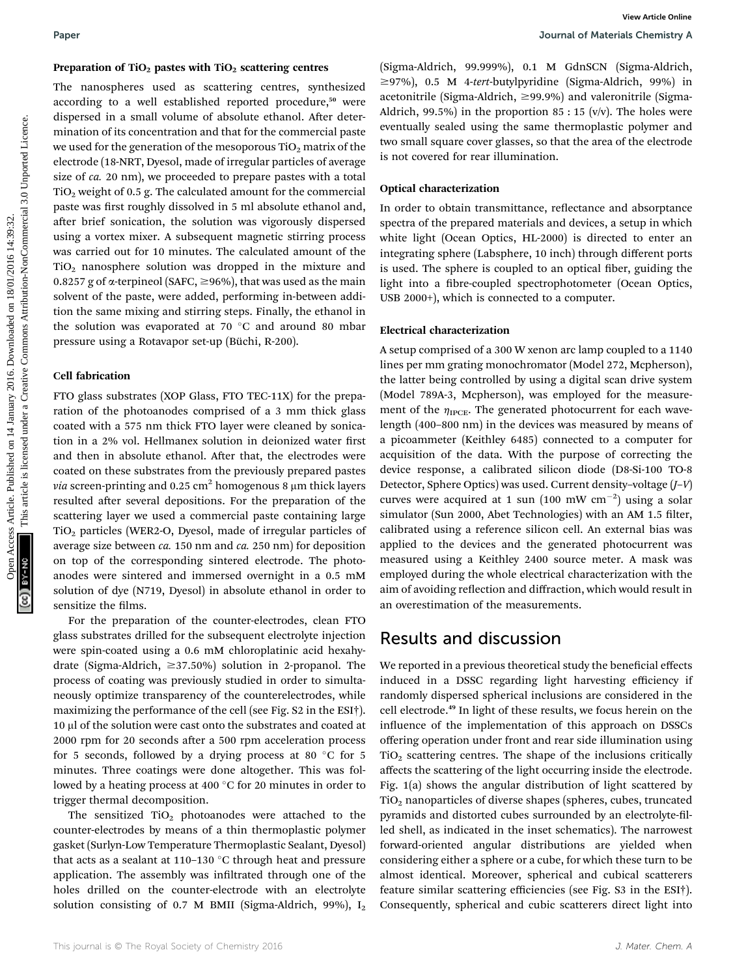The nanospheres used as scattering centres, synthesized according to a well established reported procedure,<sup>50</sup> were dispersed in a small volume of absolute ethanol. After determination of its concentration and that for the commercial paste we used for the generation of the mesoporous  $TiO<sub>2</sub>$  matrix of the electrode (18-NRT, Dyesol, made of irregular particles of average size of ca. 20 nm), we proceeded to prepare pastes with a total  $TiO<sub>2</sub>$  weight of 0.5 g. The calculated amount for the commercial paste was first roughly dissolved in 5 ml absolute ethanol and, after brief sonication, the solution was vigorously dispersed using a vortex mixer. A subsequent magnetic stirring process was carried out for 10 minutes. The calculated amount of the  $TiO<sub>2</sub>$  nanosphere solution was dropped in the mixture and 0.8257 g of  $\alpha$ -terpineol (SAFC,  $\geq$ 96%), that was used as the main solvent of the paste, were added, performing in-between addition the same mixing and stirring steps. Finally, the ethanol in the solution was evaporated at 70  $\degree$ C and around 80 mbar pressure using a Rotavapor set-up (Büchi, R-200). Paper<br> **Preparation of 140, sourceive** Compare Common Schemato (Sigma-Midrich, 9.9.99%), the Consequence Common Schemato (Sigma-Midrich, 16:32. The presentation of the second of the second in a small when the common of the

#### Cell fabrication

FTO glass substrates (XOP Glass, FTO TEC-11X) for the preparation of the photoanodes comprised of a 3 mm thick glass coated with a 575 nm thick FTO layer were cleaned by sonication in a 2% vol. Hellmanex solution in deionized water first and then in absolute ethanol. After that, the electrodes were coated on these substrates from the previously prepared pastes *via* screen-printing and 0.25 cm<sup>2</sup> homogenous 8  $\mu$ m thick layers resulted after several depositions. For the preparation of the scattering layer we used a commercial paste containing large  $TiO<sub>2</sub>$  particles (WER2-O, Dyesol, made of irregular particles of average size between  $ca. 150$  nm and  $ca. 250$  nm) for deposition on top of the corresponding sintered electrode. The photoanodes were sintered and immersed overnight in a 0.5 mM solution of dye (N719, Dyesol) in absolute ethanol in order to sensitize the films.

For the preparation of the counter-electrodes, clean FTO glass substrates drilled for the subsequent electrolyte injection were spin-coated using a 0.6 mM chloroplatinic acid hexahydrate (Sigma-Aldrich,  $\geq$ 37.50%) solution in 2-propanol. The process of coating was previously studied in order to simultaneously optimize transparency of the counterelectrodes, while maximizing the performance of the cell (see Fig. S2 in the ESI†). 10 ml of the solution were cast onto the substrates and coated at 2000 rpm for 20 seconds after a 500 rpm acceleration process for 5 seconds, followed by a drying process at 80  $^{\circ}$ C for 5 minutes. Three coatings were done altogether. This was followed by a heating process at 400  $\degree$ C for 20 minutes in order to trigger thermal decomposition.

The sensitized  $TiO<sub>2</sub>$  photoanodes were attached to the counter-electrodes by means of a thin thermoplastic polymer gasket (Surlyn-Low Temperature Thermoplastic Sealant, Dyesol) that acts as a sealant at 110-130  $^{\circ}$ C through heat and pressure application. The assembly was infiltrated through one of the holes drilled on the counter-electrode with an electrolyte solution consisting of 0.7 M BMII (Sigma-Aldrich, 99%),  $I_2$ 

(Sigma-Aldrich, 99.999%), 0.1 M GdnSCN (Sigma-Aldrich,  $\geq$ 97%), 0.5 M 4-tert-butylpyridine (Sigma-Aldrich, 99%) in acetonitrile (Sigma-Aldrich,  $\geq$ 99.9%) and valeronitrile (Sigma-Aldrich, 99.5%) in the proportion  $85:15$  (v/v). The holes were eventually sealed using the same thermoplastic polymer and two small square cover glasses, so that the area of the electrode is not covered for rear illumination.

#### Optical characterization

In order to obtain transmittance, reflectance and absorptance spectra of the prepared materials and devices, a setup in which white light (Ocean Optics, HL-2000) is directed to enter an integrating sphere (Labsphere, 10 inch) through different ports is used. The sphere is coupled to an optical fiber, guiding the light into a fibre-coupled spectrophotometer (Ocean Optics, USB 2000+), which is connected to a computer.

#### Electrical characterization

A setup comprised of a 300 W xenon arc lamp coupled to a 1140 lines per mm grating monochromator (Model 272, Mcpherson), the latter being controlled by using a digital scan drive system (Model 789A-3, Mcpherson), was employed for the measurement of the  $\eta_{\text{IPCE}}$ . The generated photocurrent for each wavelength (400–800 nm) in the devices was measured by means of a picoammeter (Keithley 6485) connected to a computer for acquisition of the data. With the purpose of correcting the device response, a calibrated silicon diode (D8-Si-100 TO-8 Detector, Sphere Optics) was used. Current density–voltage (J–V) curves were acquired at 1 sun (100 mW  $cm^{-2}$ ) using a solar simulator (Sun 2000, Abet Technologies) with an AM 1.5 filter, calibrated using a reference silicon cell. An external bias was applied to the devices and the generated photocurrent was measured using a Keithley 2400 source meter. A mask was employed during the whole electrical characterization with the aim of avoiding reflection and diffraction, which would result in an overestimation of the measurements.

### Results and discussion

We reported in a previous theoretical study the beneficial effects induced in a DSSC regarding light harvesting efficiency if randomly dispersed spherical inclusions are considered in the cell electrode.<sup>49</sup> In light of these results, we focus herein on the influence of the implementation of this approach on DSSCs offering operation under front and rear side illumination using  $TiO<sub>2</sub>$  scattering centres. The shape of the inclusions critically affects the scattering of the light occurring inside the electrode. Fig. 1(a) shows the angular distribution of light scattered by TiO2 nanoparticles of diverse shapes (spheres, cubes, truncated pyramids and distorted cubes surrounded by an electrolyte-filled shell, as indicated in the inset schematics). The narrowest forward-oriented angular distributions are yielded when considering either a sphere or a cube, for which these turn to be almost identical. Moreover, spherical and cubical scatterers feature similar scattering efficiencies (see Fig. S3 in the ESI†). Consequently, spherical and cubic scatterers direct light into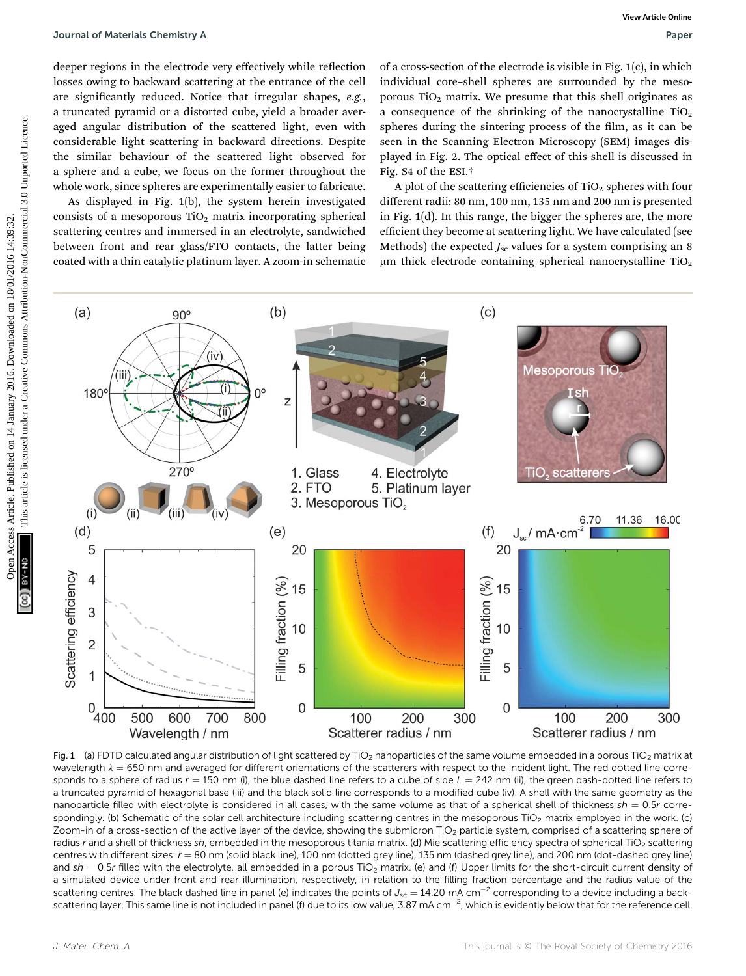deeper regions in the electrode very effectively while reflection losses owing to backward scattering at the entrance of the cell are significantly reduced. Notice that irregular shapes,  $e.g.,$ a truncated pyramid or a distorted cube, yield a broader averaged angular distribution of the scattered light, even with considerable light scattering in backward directions. Despite the similar behaviour of the scattered light observed for a sphere and a cube, we focus on the former throughout the whole work, since spheres are experimentally easier to fabricate.

As displayed in Fig. 1(b), the system herein investigated consists of a mesoporous  $TiO<sub>2</sub>$  matrix incorporating spherical scattering centres and immersed in an electrolyte, sandwiched between front and rear glass/FTO contacts, the latter being coated with a thin catalytic platinum layer. A zoom-in schematic

of a cross-section of the electrode is visible in Fig. 1(c), in which individual core–shell spheres are surrounded by the mesoporous TiO<sub>2</sub> matrix. We presume that this shell originates as a consequence of the shrinking of the nanocrystalline  $TiO<sub>2</sub>$ spheres during the sintering process of the film, as it can be seen in the Scanning Electron Microscopy (SEM) images displayed in Fig. 2. The optical effect of this shell is discussed in Fig. S4 of the ESI.†

A plot of the scattering efficiencies of  $TiO<sub>2</sub>$  spheres with four different radii: 80 nm, 100 nm, 135 nm and 200 nm is presented in Fig. 1(d). In this range, the bigger the spheres are, the more efficient they become at scattering light. We have calculated (see Methods) the expected  $J_{\rm sc}$  values for a system comprising an 8  $\mu$ m thick electrode containing spherical nanocrystalline TiO<sub>2</sub>



Fig. 1 (a) FDTD calculated angular distribution of light scattered by TiO<sub>2</sub> nanoparticles of the same volume embedded in a porous TiO<sub>2</sub> matrix at wavelength  $\lambda = 650$  nm and averaged for different orientations of the scatterers with respect to the incident light. The red dotted line corresponds to a sphere of radius  $r = 150$  nm (i), the blue dashed line refers to a cube of side  $L = 242$  nm (ii), the green dash-dotted line refers to a truncated pyramid of hexagonal base (iii) and the black solid line corresponds to a modified cube (iv). A shell with the same geometry as the nanoparticle filled with electrolyte is considered in all cases, with the same volume as that of a spherical shell of thickness  $sh = 0.5r$  correspondingly. (b) Schematic of the solar cell architecture including scattering centres in the mesoporous TiO<sub>2</sub> matrix employed in the work. (c) Zoom-in of a cross-section of the active layer of the device, showing the submicron TiO<sub>2</sub> particle system, comprised of a scattering sphere of radius r and a shell of thickness sh, embedded in the mesoporous titania matrix. (d) Mie scattering efficiency spectra of spherical TiO<sub>2</sub> scattering centres with different sizes:  $r = 80$  nm (solid black line), 100 nm (dotted grey line), 135 nm (dashed grey line), and 200 nm (dot-dashed grey line) and sh = 0.5r filled with the electrolyte, all embedded in a porous TiO<sub>2</sub> matrix. (e) and (f) Upper limits for the short-circuit current density of a simulated device under front and rear illumination, respectively, in relation to the filling fraction percentage and the radius value of the scattering centres. The black dashed line in panel (e) indicates the points of  $J_{sc} = 14.20$  mA cm<sup>-2</sup> corresponding to a device including a backscattering layer. This same line is not included in panel (f) due to its low value, 3.87 mA cm<sup>-2</sup>, which is evidently below that for the reference cell.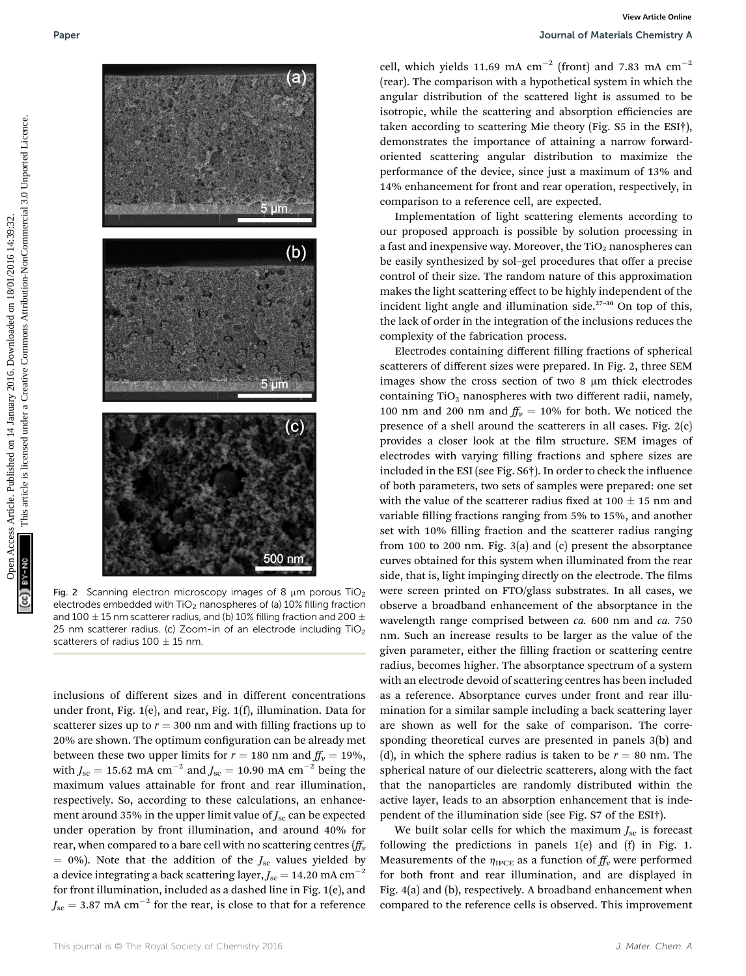

Fig. 2 Scanning electron microscopy images of 8  $\mu$ m porous TiO<sub>2</sub> electrodes embedded with  $TiO<sub>2</sub>$  nanospheres of (a) 10% filling fraction and 100  $\pm$  15 nm scatterer radius, and (b) 10% filling fraction and 200  $\pm$ 25 nm scatterer radius. (c) Zoom-in of an electrode including  $TiO<sub>2</sub>$ scatterers of radius 100  $\pm$  15 nm.

inclusions of different sizes and in different concentrations under front, Fig. 1(e), and rear, Fig. 1(f), illumination. Data for scatterer sizes up to  $r = 300$  nm and with filling fractions up to 20% are shown. The optimum configuration can be already met between these two upper limits for  $r = 180$  nm and  $f_v = 19\%$ , with  $J_{\rm sc} = 15.62 \text{ mA cm}^{-2}$  and  $J_{\rm sc} = 10.90 \text{ mA cm}^{-2}$  being the maximum values attainable for front and rear illumination, respectively. So, according to these calculations, an enhancement around 35% in the upper limit value of  $J_{\rm sc}$  can be expected under operation by front illumination, and around 40% for rear, when compared to a bare cell with no scattering centres  $(f_v^T v)$  $= 0\%$ ). Note that the addition of the  $J_{\rm sc}$  values yielded by a device integrating a back scattering layer,  $J_{\rm sc} = 14.20$  mA cm<sup>-2</sup> for front illumination, included as a dashed line in Fig. 1(e), and  $J_{\rm sc} = 3.87$  mA cm<sup>-2</sup> for the rear, is close to that for a reference

cell, which yields 11.69 mA  $cm^{-2}$  (front) and 7.83 mA  $cm^{-2}$ (rear). The comparison with a hypothetical system in which the angular distribution of the scattered light is assumed to be isotropic, while the scattering and absorption efficiencies are taken according to scattering Mie theory (Fig. S5 in the ESI†), demonstrates the importance of attaining a narrow forwardoriented scattering angular distribution to maximize the performance of the device, since just a maximum of 13% and 14% enhancement for front and rear operation, respectively, in comparison to a reference cell, are expected.

Implementation of light scattering elements according to our proposed approach is possible by solution processing in a fast and inexpensive way. Moreover, the  $TiO<sub>2</sub>$  nanospheres can be easily synthesized by sol–gel procedures that offer a precise control of their size. The random nature of this approximation makes the light scattering effect to be highly independent of the incident light angle and illumination side. $27-30$  On top of this, the lack of order in the integration of the inclusions reduces the complexity of the fabrication process.

Electrodes containing different filling fractions of spherical scatterers of different sizes were prepared. In Fig. 2, three SEM images show the cross section of two 8  $\mu$ m thick electrodes containing  $TiO<sub>2</sub>$  nanospheres with two different radii, namely, 100 nm and 200 nm and  $f_V = 10\%$  for both. We noticed the presence of a shell around the scatterers in all cases. Fig. 2(c) provides a closer look at the film structure. SEM images of electrodes with varying filling fractions and sphere sizes are included in the ESI (see Fig.  $S6\dagger$ ). In order to check the influence of both parameters, two sets of samples were prepared: one set with the value of the scatterer radius fixed at 100  $\pm$  15 nm and variable filling fractions ranging from 5% to 15%, and another set with 10% filling fraction and the scatterer radius ranging from 100 to 200 nm. Fig. 3(a) and (c) present the absorptance curves obtained for this system when illuminated from the rear side, that is, light impinging directly on the electrode. The films were screen printed on FTO/glass substrates. In all cases, we observe a broadband enhancement of the absorptance in the wavelength range comprised between ca. 600 nm and ca. 750 nm. Such an increase results to be larger as the value of the given parameter, either the filling fraction or scattering centre radius, becomes higher. The absorptance spectrum of a system with an electrode devoid of scattering centres has been included as a reference. Absorptance curves under front and rear illumination for a similar sample including a back scattering layer are shown as well for the sake of comparison. The corresponding theoretical curves are presented in panels 3(b) and (d), in which the sphere radius is taken to be  $r = 80$  nm. The spherical nature of our dielectric scatterers, along with the fact that the nanoparticles are randomly distributed within the active layer, leads to an absorption enhancement that is independent of the illumination side (see Fig. S7 of the ESI†).

We built solar cells for which the maximum  $J_{\rm sc}$  is forecast following the predictions in panels 1(e) and (f) in Fig. 1. Measurements of the  $\eta_{\text{IPCE}}$  as a function of  $f_{\text{Iv}}$  were performed for both front and rear illumination, and are displayed in Fig. 4(a) and (b), respectively. A broadband enhancement when compared to the reference cells is observed. This improvement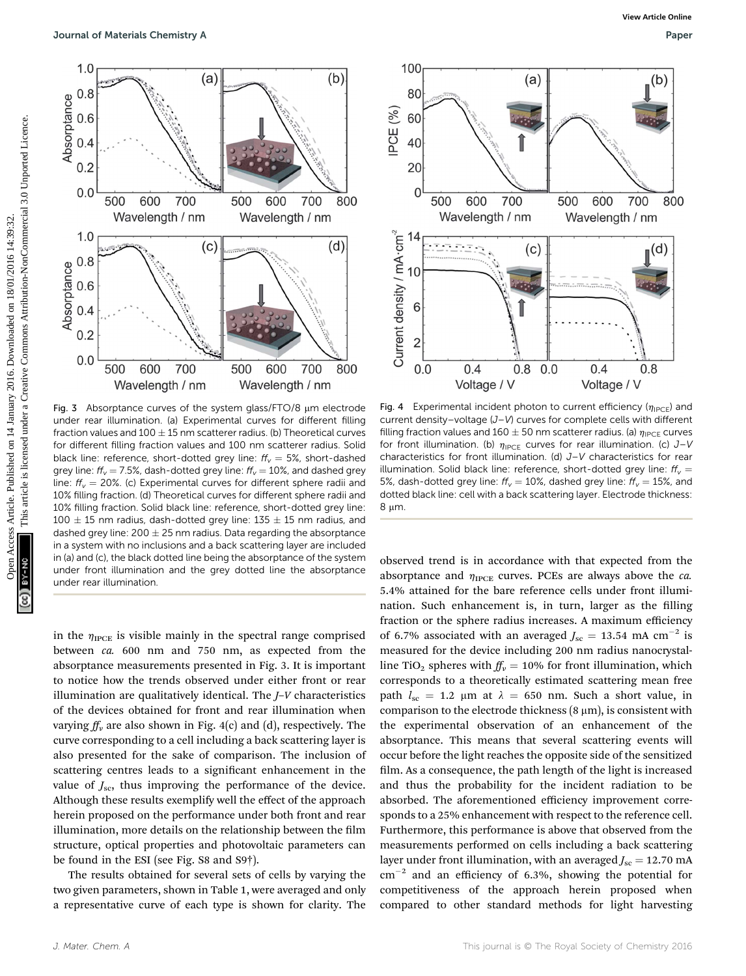

Fig. 3 Absorptance curves of the system glass/FTO/8  $\mu$ m electrode under rear illumination. (a) Experimental curves for different filling fraction values and  $100 \pm 15$  nm scatterer radius. (b) Theoretical curves for different filling fraction values and 100 nm scatterer radius. Solid black line: reference, short-dotted grey line:  $ff_v = 5\%$ , short-dashed grey line:  $ff_v = 7.5\%$ , dash-dotted grey line:  $ff_v = 10\%$ , and dashed grey line:  $f_{v}$  = 20%. (c) Experimental curves for different sphere radii and 10% filling fraction. (d) Theoretical curves for different sphere radii and 10% filling fraction. Solid black line: reference, short-dotted grey line:  $100 \pm 15$  nm radius, dash-dotted grey line:  $135 \pm 15$  nm radius, and dashed grey line:  $200 \pm 25$  nm radius. Data regarding the absorptance in a system with no inclusions and a back scattering layer are included in (a) and (c), the black dotted line being the absorptance of the system under front illumination and the grey dotted line the absorptance under rear illumination.

in the  $\eta_{\text{IPCE}}$  is visible mainly in the spectral range comprised between ca. 600 nm and 750 nm, as expected from the absorptance measurements presented in Fig. 3. It is important to notice how the trends observed under either front or rear illumination are qualitatively identical. The J–V characteristics of the devices obtained for front and rear illumination when varying  $ff_v$  are also shown in Fig. 4(c) and (d), respectively. The curve corresponding to a cell including a back scattering layer is also presented for the sake of comparison. The inclusion of scattering centres leads to a significant enhancement in the value of  $J_{\rm sc}$ , thus improving the performance of the device. Although these results exemplify well the effect of the approach herein proposed on the performance under both front and rear illumination, more details on the relationship between the film structure, optical properties and photovoltaic parameters can be found in the ESI (see Fig. S8 and S9†).

The results obtained for several sets of cells by varying the two given parameters, shown in Table 1, were averaged and only a representative curve of each type is shown for clarity. The



Fig. 4 Experimental incident photon to current efficiency ( $\eta_{\text{IPCF}}$ ) and current density–voltage (J–V) curves for complete cells with different filling fraction values and 160  $\pm$  50 nm scatterer radius. (a)  $\eta_{\text{IPCE}}$  curves for front illumination. (b)  $\eta_{\text{IPCE}}$  curves for rear illumination. (c) J–V characteristics for front illumination. (d) J–V characteristics for rear illumination. Solid black line: reference, short-dotted grey line:  $ff_v =$ 5%, dash-dotted grey line:  $ff_v = 10$ %, dashed grey line:  $ff_v = 15$ %, and dotted black line: cell with a back scattering layer. Electrode thickness: 8 um

observed trend is in accordance with that expected from the absorptance and  $\eta_{\text{IPCE}}$  curves. PCEs are always above the *ca*. 5.4% attained for the bare reference cells under front illumination. Such enhancement is, in turn, larger as the filling fraction or the sphere radius increases. A maximum efficiency of 6.7% associated with an averaged  $J_{\rm sc} = 13.54 \text{ mA cm}^{-2}$  is measured for the device including 200 nm radius nanocrystalline TiO<sub>2</sub> spheres with  $f_{\nu} = 10\%$  for front illumination, which corresponds to a theoretically estimated scattering mean free path  $l_{\rm sc}$  = 1.2 µm at  $\lambda$  = 650 nm. Such a short value, in comparison to the electrode thickness  $(8 \mu m)$ , is consistent with the experimental observation of an enhancement of the absorptance. This means that several scattering events will occur before the light reaches the opposite side of the sensitized film. As a consequence, the path length of the light is increased and thus the probability for the incident radiation to be absorbed. The aforementioned efficiency improvement corresponds to a 25% enhancement with respect to the reference cell. Furthermore, this performance is above that observed from the measurements performed on cells including a back scattering layer under front illumination, with an averaged  $J_{\text{sc}} = 12.70 \text{ mA}$  $cm^{-2}$  and an efficiency of 6.3%, showing the potential for competitiveness of the approach herein proposed when compared to other standard methods for light harvesting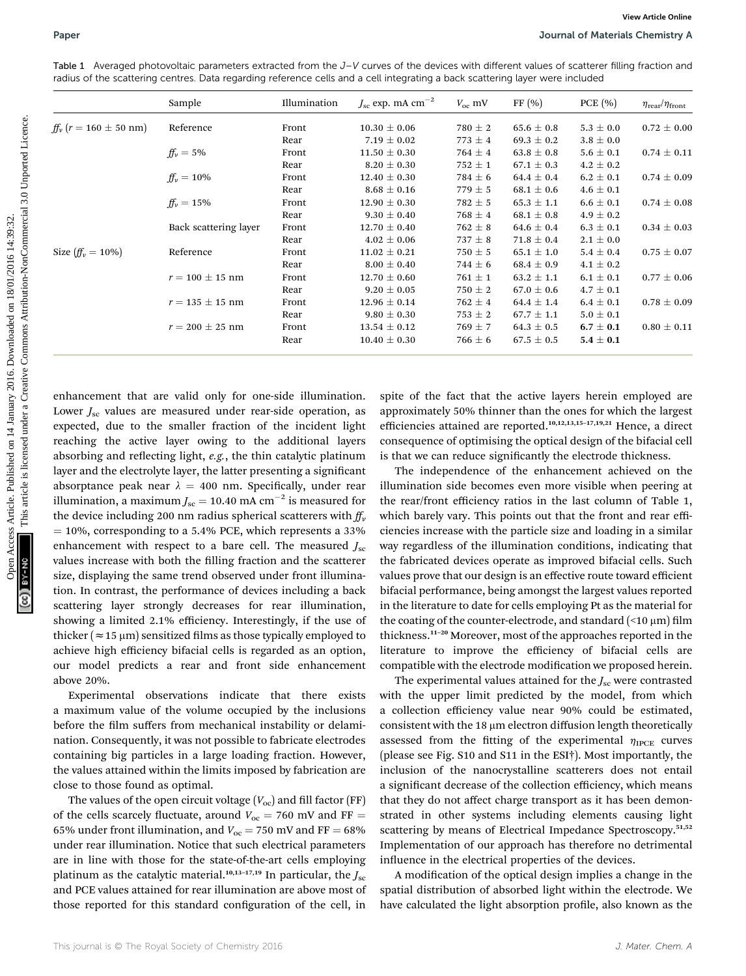Table 1 Averaged photovoltaic parameters extracted from the J–V curves of the devices with different values of scatterer filling fraction and radius of the scattering centres. Data regarding reference cells and a cell integrating a back scattering layer were included

|                                                                      | Sample                                                                                                                                 | Illumination | $J_{\rm sc}$ exp. mA $\rm cm^{-2}$ | $V_{\rm oc}$ mV | FF(%)                                                                                                                             | PCE(%)        | $\eta_{\rm rear}/\eta_{\rm front}$ |
|----------------------------------------------------------------------|----------------------------------------------------------------------------------------------------------------------------------------|--------------|------------------------------------|-----------------|-----------------------------------------------------------------------------------------------------------------------------------|---------------|------------------------------------|
| $ff_v (r = 160 \pm 50 \text{ nm})$                                   | Reference                                                                                                                              | Front        | $10.30 \pm 0.06$                   | $780 \pm 2$     | $65.6 \pm 0.8$                                                                                                                    | $5.3 \pm 0.0$ | $0.72 \pm 0.00$                    |
|                                                                      |                                                                                                                                        | Rear         | $7.19 \pm 0.02$                    | $773 \pm 4$     | $69.3 \pm 0.2$                                                                                                                    | $3.8 \pm 0.0$ |                                    |
|                                                                      | $ff_v = 5\%$                                                                                                                           | Front        | $11.50 \pm 0.30$                   | $764 \pm 4$     | $63.8 \pm 0.8$                                                                                                                    | $5.6 \pm 0.1$ | $0.74 \pm 0.11$                    |
|                                                                      |                                                                                                                                        | Rear         | $8.20 \pm 0.30$                    | $752 \pm 1$     | $67.1 \pm 0.3$                                                                                                                    | $4.2 \pm 0.2$ |                                    |
|                                                                      | $ff_v = 10\%$                                                                                                                          | Front        | $12.40 \pm 0.30$                   | $784 \pm 6$     | $64.4 \pm 0.4$                                                                                                                    | $6.2 \pm 0.1$ | $0.74 \pm 0.09$                    |
|                                                                      |                                                                                                                                        | Rear         | $8.68 \pm 0.16$                    | $779 \pm 5$     | $68.1 \pm 0.6$                                                                                                                    | $4.6 \pm 0.1$ |                                    |
|                                                                      | $ff_v = 15\%$                                                                                                                          | Front        | $12.90 \pm 0.30$                   | $782 \pm 5$     | $65.3 \pm 1.1$                                                                                                                    | $6.6 \pm 0.1$ | $0.74 \pm 0.08$                    |
|                                                                      |                                                                                                                                        | Rear         | $9.30 \pm 0.40$                    | $768 \pm 4$     | $68.1 \pm 0.8$                                                                                                                    | $4.9 \pm 0.2$ |                                    |
|                                                                      | Back scattering layer                                                                                                                  | Front        | $12.70 \pm 0.40$                   | $762 \pm 8$     | $64.6 \pm 0.4$                                                                                                                    | $6.3 \pm 0.1$ | $0.34 \pm 0.03$                    |
|                                                                      |                                                                                                                                        | Rear         | $4.02 \pm 0.06$                    | $737 \pm 8$     | $71.8 \pm 0.4$                                                                                                                    | $2.1 \pm 0.0$ |                                    |
| Size $(f_{\nu} = 10\%)$                                              | Reference                                                                                                                              | Front        | $11.02 \pm 0.21$                   | $750 \pm 5$     | $65.1 \pm 1.0$                                                                                                                    | $5.4 \pm 0.4$ | $0.75 \pm 0.07$                    |
|                                                                      |                                                                                                                                        | Rear         | $8.00 \pm 0.40$                    | $744 \pm 6$     | $68.4 \pm 0.9$                                                                                                                    | $4.1 \pm 0.2$ |                                    |
|                                                                      | $r = 100 \pm 15$ nm                                                                                                                    | Front        | $12.70 \pm 0.60$                   | $761 \pm 1$     | $63.2 \pm 1.1$                                                                                                                    | $6.1 \pm 0.1$ | $0.77 \pm 0.06$                    |
|                                                                      |                                                                                                                                        | Rear         | $9.20 \pm 0.05$                    | 750 $\pm$ 2     | $67.0 \pm 0.6$                                                                                                                    | $4.7 \pm 0.1$ |                                    |
|                                                                      | $r = 135 \pm 15$ nm                                                                                                                    | Front        | $12.96 \pm 0.14$                   | $762 \pm 4$     | $64.4 \pm 1.4$                                                                                                                    | $6.4 \pm 0.1$ | $0.78 \pm 0.09$                    |
|                                                                      |                                                                                                                                        | Rear         | $9.80 \pm 0.30$                    | $753 \pm 2$     | $67.7 \pm 1.1$                                                                                                                    | $5.0 \pm 0.1$ |                                    |
|                                                                      | $r = 200 \pm 25$ nm                                                                                                                    | Front        | $13.54 \pm 0.12$                   | $769 \pm 7$     | $64.3 \pm 0.5$                                                                                                                    | $6.7 \pm 0.1$ | $0.80 \pm 0.11$                    |
|                                                                      |                                                                                                                                        | Rear         | $10.40 \pm 0.30$                   | $766 \pm 6$     | $67.5 \pm 0.5$                                                                                                                    | $5.4 \pm 0.1$ |                                    |
|                                                                      | enhancement that are valid only for one-side illumination.                                                                             |              |                                    |                 | spite of the fact that the active layers herein employed are<br>approximately 50% thinner than the ones for which the largest     |               |                                    |
| Lower $J_{\rm sc}$ values are measured under rear-side operation, as | expected, due to the smaller fraction of the incident light                                                                            |              |                                    |                 | efficiencies attained are reported. <sup>10,12,13,15-17,19,21</sup> Hence, a direct                                               |               |                                    |
|                                                                      | reaching the active layer owing to the additional layers                                                                               |              |                                    |                 | consequence of optimising the optical design of the bifacial cell                                                                 |               |                                    |
|                                                                      |                                                                                                                                        |              |                                    |                 |                                                                                                                                   |               |                                    |
|                                                                      | absorbing and reflecting light, e.g., the thin catalytic platinum                                                                      |              |                                    |                 | is that we can reduce significantly the electrode thickness.                                                                      |               |                                    |
|                                                                      | layer and the electrolyte layer, the latter presenting a significant                                                                   |              |                                    |                 | The independence of the enhancement achieved on the                                                                               |               |                                    |
|                                                                      | absorptance peak near $\lambda = 400$ nm. Specifically, under rear                                                                     |              |                                    |                 | illumination side becomes even more visible when peering at                                                                       |               |                                    |
|                                                                      | illumination, a maximum $J_{\rm sc} = 10.40$ mA cm <sup>-2</sup> is measured for                                                       |              |                                    |                 | the rear/front efficiency ratios in the last column of Table 1,                                                                   |               |                                    |
|                                                                      | the device including 200 nm radius spherical scatterers with $ff_\nu$                                                                  |              |                                    |                 | which barely vary. This points out that the front and rear effi-                                                                  |               |                                    |
|                                                                      | $=$ 10%, corresponding to a 5.4% PCE, which represents a 33%                                                                           |              |                                    |                 | ciencies increase with the particle size and loading in a similar                                                                 |               |                                    |
|                                                                      |                                                                                                                                        |              |                                    |                 |                                                                                                                                   |               |                                    |
|                                                                      | enhancement with respect to a bare cell. The measured $J_{\rm sc}$<br>values increase with both the filling fraction and the scatterer |              |                                    |                 | way regardless of the illumination conditions, indicating that<br>the fabricated devices operate as improved bifacial cells. Such |               |                                    |

enhancement that are valid only for one-side illumination. Lower  $J_{\rm sc}$  values are measured under rear-side operation, as expected, due to the smaller fraction of the incident light reaching the active layer owing to the additional layers absorbing and reflecting light,  $e.g.$ , the thin catalytic platinum layer and the electrolyte layer, the latter presenting a significant absorptance peak near  $\lambda = 400$  nm. Specifically, under rear illumination, a maximum  $J_{\rm sc} = 10.40$  mA cm<sup>-2</sup> is measured for the device including 200 nm radius spherical scatterers with  $ff<sub>v</sub>$  $= 10\%$ , corresponding to a 5.4% PCE, which represents a 33% enhancement with respect to a bare cell. The measured  $J_{\rm sc}$ values increase with both the filling fraction and the scatterer size, displaying the same trend observed under front illumination. In contrast, the performance of devices including a back scattering layer strongly decreases for rear illumination, showing a limited 2.1% efficiency. Interestingly, if the use of thicker ( $\approx$  15  $\mu$ m) sensitized films as those typically employed to achieve high efficiency bifacial cells is regarded as an option, our model predicts a rear and front side enhancement above 20%.

Experimental observations indicate that there exists a maximum value of the volume occupied by the inclusions before the film suffers from mechanical instability or delamination. Consequently, it was not possible to fabricate electrodes containing big particles in a large loading fraction. However, the values attained within the limits imposed by fabrication are close to those found as optimal.

The values of the open circuit voltage  $(V_{oc})$  and fill factor (FF) of the cells scarcely fluctuate, around  $V_{\text{oc}} = 760 \text{ mV}$  and FF = 65% under front illumination, and  $V_{\text{oc}} = 750 \text{ mV}$  and FF = 68% under rear illumination. Notice that such electrical parameters are in line with those for the state-of-the-art cells employing platinum as the catalytic material.<sup>10,13–17,19</sup> In particular, the  $J_{\rm sc}$ and PCE values attained for rear illumination are above most of those reported for this standard configuration of the cell, in

The independence of the enhancement achieved on the illumination side becomes even more visible when peering at the rear/front efficiency ratios in the last column of Table 1, which barely vary. This points out that the front and rear efficiencies increase with the particle size and loading in a similar way regardless of the illumination conditions, indicating that the fabricated devices operate as improved bifacial cells. Such values prove that our design is an effective route toward efficient bifacial performance, being amongst the largest values reported in the literature to date for cells employing Pt as the material for the coating of the counter-electrode, and standard  $($ <10  $\mu$ m) film thickness.<sup>11</sup>–<sup>20</sup> Moreover, most of the approaches reported in the literature to improve the efficiency of bifacial cells are compatible with the electrode modification we proposed herein.

The experimental values attained for the  $J_{\rm sc}$  were contrasted with the upper limit predicted by the model, from which a collection efficiency value near 90% could be estimated, consistent with the 18  $\mu$ m electron diffusion length theoretically assessed from the fitting of the experimental  $\eta_{\text{IPCE}}$  curves (please see Fig. S10 and S11 in the ESI†). Most importantly, the inclusion of the nanocrystalline scatterers does not entail a significant decrease of the collection efficiency, which means that they do not affect charge transport as it has been demonstrated in other systems including elements causing light scattering by means of Electrical Impedance Spectroscopy.<sup>51,52</sup> Implementation of our approach has therefore no detrimental influence in the electrical properties of the devices.

A modification of the optical design implies a change in the spatial distribution of absorbed light within the electrode. We have calculated the light absorption profile, also known as the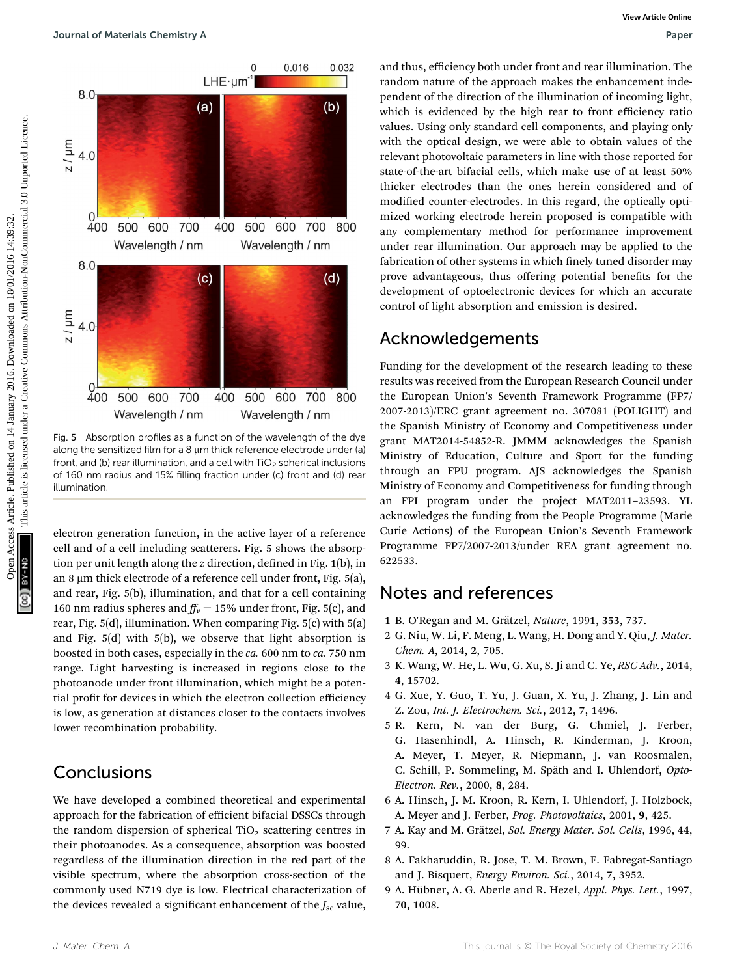

Fig. 5 Absorption profiles as a function of the wavelength of the dye along the sensitized film for a  $8 \mu$ m thick reference electrode under (a) front, and (b) rear illumination, and a cell with  $TiO<sub>2</sub>$  spherical inclusions of 160 nm radius and 15% filling fraction under (c) front and (d) rear illumination.

electron generation function, in the active layer of a reference cell and of a cell including scatterers. Fig. 5 shows the absorption per unit length along the  $z$  direction, defined in Fig.  $1(b)$ , in an 8  $\mu$ m thick electrode of a reference cell under front, Fig. 5(a), and rear, Fig. 5(b), illumination, and that for a cell containing 160 nm radius spheres and  $f_{\nu} = 15\%$  under front, Fig. 5(c), and rear, Fig. 5(d), illumination. When comparing Fig. 5(c) with 5(a) and Fig. 5(d) with 5(b), we observe that light absorption is boosted in both cases, especially in the ca. 600 nm to ca. 750 nm range. Light harvesting is increased in regions close to the photoanode under front illumination, which might be a potential profit for devices in which the electron collection efficiency is low, as generation at distances closer to the contacts involves lower recombination probability.

## Conclusions

We have developed a combined theoretical and experimental approach for the fabrication of efficient bifacial DSSCs through the random dispersion of spherical  $TiO<sub>2</sub>$  scattering centres in their photoanodes. As a consequence, absorption was boosted regardless of the illumination direction in the red part of the visible spectrum, where the absorption cross-section of the commonly used N719 dye is low. Electrical characterization of the devices revealed a significant enhancement of the  $J_{\rm sc}$  value,

and thus, efficiency both under front and rear illumination. The random nature of the approach makes the enhancement independent of the direction of the illumination of incoming light, which is evidenced by the high rear to front efficiency ratio values. Using only standard cell components, and playing only with the optical design, we were able to obtain values of the relevant photovoltaic parameters in line with those reported for state-of-the-art bifacial cells, which make use of at least 50% thicker electrodes than the ones herein considered and of modified counter-electrodes. In this regard, the optically optimized working electrode herein proposed is compatible with any complementary method for performance improvement under rear illumination. Our approach may be applied to the fabrication of other systems in which finely tuned disorder may prove advantageous, thus offering potential benefits for the development of optoelectronic devices for which an accurate control of light absorption and emission is desired.

## Acknowledgements

Funding for the development of the research leading to these results was received from the European Research Council under the European Union's Seventh Framework Programme (FP7/ 2007-2013)/ERC grant agreement no. 307081 (POLIGHT) and the Spanish Ministry of Economy and Competitiveness under grant MAT2014-54852-R. JMMM acknowledges the Spanish Ministry of Education, Culture and Sport for the funding through an FPU program. AJS acknowledges the Spanish Ministry of Economy and Competitiveness for funding through an FPI program under the project MAT2011–23593. YL acknowledges the funding from the People Programme (Marie Curie Actions) of the European Union's Seventh Framework Programme FP7/2007-2013/under REA grant agreement no. 622533.

## Notes and references

- 1 B. O'Regan and M. Grätzel, Nature, 1991, 353, 737.
- 2 G. Niu, W. Li, F. Meng, L. Wang, H. Dong and Y. Qiu, J. Mater. Chem. A, 2014, 2, 705.
- 3 K. Wang, W. He, L. Wu, G. Xu, S. Ji and C. Ye, RSC Adv., 2014, 4, 15702.
- 4 G. Xue, Y. Guo, T. Yu, J. Guan, X. Yu, J. Zhang, J. Lin and Z. Zou, Int. J. Electrochem. Sci., 2012, 7, 1496.
- 5 R. Kern, N. van der Burg, G. Chmiel, J. Ferber, G. Hasenhindl, A. Hinsch, R. Kinderman, J. Kroon, A. Meyer, T. Meyer, R. Niepmann, J. van Roosmalen, C. Schill, P. Sommeling, M. Späth and I. Uhlendorf, Opto-Electron. Rev., 2000, 8, 284.
- 6 A. Hinsch, J. M. Kroon, R. Kern, I. Uhlendorf, J. Holzbock, A. Meyer and J. Ferber, Prog. Photovoltaics, 2001, 9, 425.
- 7 A. Kay and M. Grätzel, Sol. Energy Mater. Sol. Cells, 1996, 44, 99.
- 8 A. Fakharuddin, R. Jose, T. M. Brown, F. Fabregat-Santiago and J. Bisquert, Energy Environ. Sci., 2014, 7, 3952.
- 9 A. Hübner, A. G. Aberle and R. Hezel, Appl. Phys. Lett., 1997, 70, 1008.